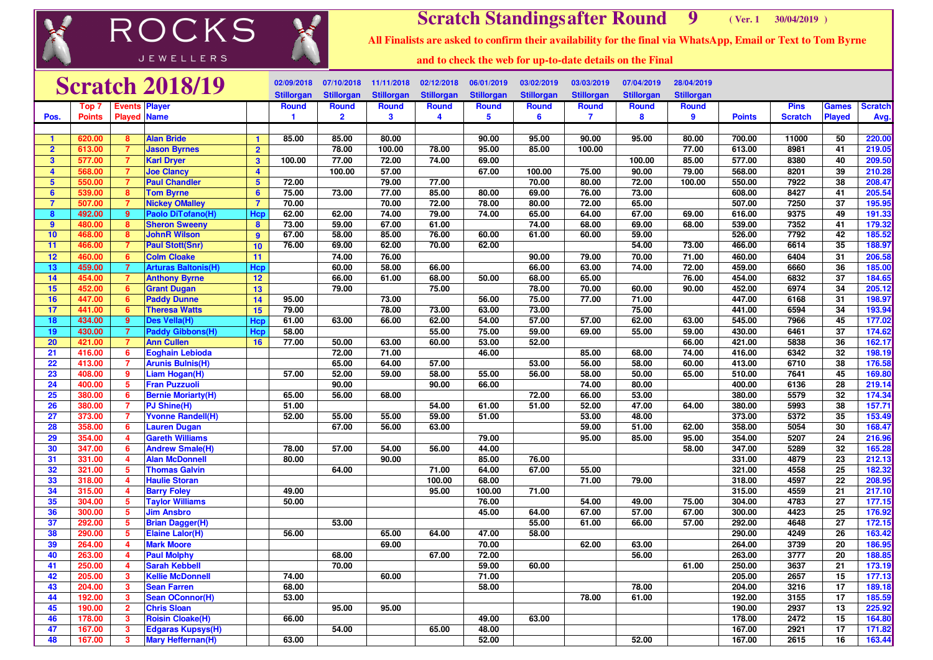## **Scratch Standingsafter Round** 9 **<sup>9</sup> ( Ver. 1 30/04/2019 )**

**All Finalists are asked to confirm their availability for the final via WhatsApp, Email or Text to Tom Byrne**

JEWELLERS

**ROCKS** 

**and to check the web for up-to-date details on the Final**

|                         |               |                         | <b>Scratch 2018/19</b>     |                         | 02/09/2018        | 07/10/2018        | 11/11/2018        | 02/12/2018        | 06/01/2019        | 03/02/2019        | 03/03/2019        | 07/04/2019        | 28/04/2019        |               |                |                 |                |
|-------------------------|---------------|-------------------------|----------------------------|-------------------------|-------------------|-------------------|-------------------|-------------------|-------------------|-------------------|-------------------|-------------------|-------------------|---------------|----------------|-----------------|----------------|
|                         |               |                         |                            |                         | <b>Stillorgan</b> | <b>Stillorgan</b> | <b>Stillorgan</b> | <b>Stillorgan</b> | <b>Stillorgan</b> | <b>Stillorgan</b> | <b>Stillorgan</b> | <b>Stillorgan</b> | <b>Stillorgan</b> |               |                |                 |                |
|                         | Top 7         | Events                  | <b>Player</b>              |                         | <b>Round</b>      | <b>Round</b>      | Round             | <b>Round</b>      | <b>Round</b>      | Round             | <b>Round</b>      | <b>Round</b>      | Round             |               | <b>Pins</b>    | <b>Games</b>    | <b>Scratch</b> |
| Pos.                    | <b>Points</b> | <b>Played</b>           | <b>Name</b>                |                         | 1                 | $\overline{2}$    | 3                 | 4                 | 5.                | 6                 | $\mathbf{7}$      | 8                 | 9                 | <b>Points</b> | <b>Scratch</b> | <b>Played</b>   | Avg.           |
|                         |               |                         |                            |                         |                   |                   |                   |                   |                   |                   |                   |                   |                   |               |                |                 |                |
|                         | 620.00        | 8                       | <b>Alan Bride</b>          | $\blacktriangleleft$    | 85.00             | 85.00             | 80.00             |                   | 90.00             | 95.00             | 90.00             | 95.00             | 80.00             | 700.00        | 11000          | 50              | 220.00         |
| $\overline{2}$          | 613.00        | 7                       | <b>Jason Byrnes</b>        | $\overline{2}$          |                   | 78.00             | 100.00            | 78.00             | 95.00             | 85,00             | 100.00            |                   | 77.00             | 613.00        | 8981           | 41              | 219.05         |
| $\overline{\mathbf{3}}$ | 577.00        | $\overline{7}$          | <b>Karl Dryer</b>          | $\overline{\mathbf{3}}$ | 100.00            | 77.00             | 72.00             | 74.00             | 69.00             |                   |                   | 100.00            | 85.00             | 577.00        | 8380           | 40              | 209.50         |
| $\overline{4}$          | 568.00        | $\overline{7}$          | <b>Joe Clancy</b>          | $\overline{4}$          |                   | 100.00            | 57.00             |                   | 67.00             | 100.00            | 75.00             | 90.00             | 79.00             | 568.00        | 8201           | 39              | 210.28         |
| $5\phantom{1}$          | 550.00        | $\overline{7}$          | <b>Paul Chandler</b>       | $5\phantom{1}$          | 72.00             |                   | 79.00             | 77.00             |                   | 70.00             | 80.00             | 72.00             | 100.00            | 550.00        | 7922           | 38              | 208.47         |
| 6                       | 539.00        | 8                       | <b>Tom Byrne</b>           | $6\phantom{1}$          | 75.00             | 73.00             | 77.00             | 85.00             | 80.00             | 69.00             | 76.00             | 73.00             |                   | 608.00        | 8427           | 41              | 205.54         |
| 7                       | 507.00        | $\overline{7}$          | <b>Nickey OMalley</b>      | $\overline{7}$          | 70.00             |                   | 70.00             | 72.00             | 78.00             | 80.00             | 72.00             | 65.00             |                   | 507.00        | 7250           | 37              | 195.95         |
| 8                       | 492.00        | $\overline{9}$          | Paolo DiTofano(H)          | Hcr                     | 62.00             | 62.00             | 74.00             | 79.00             | 74.00             | 65.00             | 64.00             | 67.00             | 69.00             | 616.00        | 9375           | 49              | 191.33         |
| 9                       | 480.00        | 8                       | <b>Sheron Sweeny</b>       | $\mathbf{8}$            | 73.00             | 59.00             | 67.00             | 61.00             |                   | 74.00             | 68.00             | 69.00             | 68.00             | 539.00        | 7352           | 41              | 179.32         |
| 10                      | 468.00        | $\overline{\mathbf{8}}$ | <b>JohnR Wilson</b>        | $\overline{9}$          | 67.00             | 58.00             | 85.00             | 76.00             | 60.00             | 61.00             | 60.00             | 59.00             |                   | 526.00        | 7792           | 42              | 185.52         |
| 11                      | 466.00        | $\overline{7}$          | <b>Paul Stott(Snr)</b>     | 10                      | 76.00             | 69.00             | 62.00             | 70.00             | 62.00             |                   |                   | 54.00             | 73.00             | 466.00        | 6614           | 35              | 188.97         |
| 12                      | 460.00        | 6 <sup>1</sup>          | <b>Colm Cloake</b>         | 11                      |                   | 74.00             | 76.00             |                   |                   | 90.00             | 79.00             | 70.00             | 71.00             | 460.00        | 6404           | 31              | 206.58         |
| 13                      | 459.00        | $\overline{7}$          | <b>Arturas Baltonis(H)</b> | Hcp                     |                   | 60.00             | 58.00             | 66.00             |                   | 66.00             | 63.00             | 74.00             | 72.00             | 459.00        | 6660           | 36              | 185.00         |
| 14                      | 454.00        | $\overline{7}$          | <b>Anthony Byrne</b>       | 12                      |                   | 66.00             | 61.00             | 68.00             | 50.00             | 68.00             | 65.00             |                   | 76.00             | 454.00        | 6832           | 37              | 184.65         |
| 15                      | 452.00        | $6^{\circ}$             | <b>Grant Dugan</b>         | 13                      |                   | 79.00             |                   | 75.00             |                   | 78.00             | 70.00             | 60.00             | 90.00             | 452.00        | 6974           | 34              | 205.12         |
| 16                      | 447.00        | 6 <sup>5</sup>          | <b>Paddy Dunne</b>         | 14                      | 95.00             |                   | 73.00             |                   | 56.00             | 75.00             | 77.00             | 71.00             |                   | 447.00        | 6168           | 31              | 198.97         |
| 17                      | 441.00        | 6                       | <b>Theresa Watts</b>       | 15                      | 79.00             |                   | 78.00             | 73.00             | 63.00             | 73.00             |                   | 75.00             |                   | 441.00        | 6594           | 34              | 193.94         |
| 18                      | 434.00        | 9                       | Des Vella(H)               | Hc                      | 61.00             | 63.00             | 66.00             | 62.00             | 54.00             | 57.00             | 57.00             | 62.00             | 63.00             | 545.00        | 7966           | 45              | 177.02         |
| 19                      | 430.00        | $\overline{7}$          | <b>Paddy Gibbons(H)</b>    | Hct                     | 58.00             |                   |                   | 55.00             | 75.00             | 59.00             | 69.00             | 55.00             | 59.00             | 430.00        | 6461           | 37              | 174.62         |
| 20                      | 421.00        | $\overline{7}$          | <b>Ann Cullen</b>          | 16                      | 77.00             | 50.00             | 63.00             | 60.00             | 53.00             | 52.00             |                   |                   | 66.00             | 421.00        | 5838           | 36              | 162.17         |
| 21                      | 416.00        | 6                       | <b>Eoghain Lebioda</b>     |                         |                   | 72.00             | 71.00             |                   | 46.00             |                   | 85.00             | 68.00             | 74.00             | 416.00        | 6342           | $\overline{32}$ | 198.19         |
| 22                      | 413.00        | $\overline{7}$          | <b>Arunis Bulnis(H)</b>    |                         |                   | 65.00             | 64.00             | 57.00             |                   | 53.00             | 56.00             | 58.00             | 60.00             | 413.00        | 6710           | 38              | 176.58         |
| 23                      | 408.00        | 9                       | Liam Hogan(H)              |                         | 57.00             | 52.00             | 59.00             | 58.00             | 55.00             | 56.00             | 58.00             | 50.00             | 65.00             | 510.00        | 7641           | 45              | 169.80         |
| 24                      | 400.00        | $5^{\circ}$             | <b>Fran Puzzuoli</b>       |                         |                   | 90.00             |                   | 90.00             | 66.00             |                   | 74.00             | 80.00             |                   | 400.00        | 6136           | 28              | 219.14         |
| 25                      | 380.00        | 6                       | <b>Bernie Moriarty(H)</b>  |                         | 65.00             | 56.00             | 68.00             |                   |                   | 72.00             | 66.00             | 53.00             |                   | 380.00        | 5579           | 32              | 174.34         |
| 26                      | 380.00        | $\overline{7}$          | PJ Shine(H)                |                         | 51.00             |                   |                   | 54.00             | 61.00             | 51.00             | 52.00             | 47.00             | 64.00             | 380.00        | 5993           | 38              | 157.71         |
| 27                      | 373.00        | $\overline{7}$          | <b>Yvonne Randell(H)</b>   |                         | 52.00             | 55.00             | 55.00             | 59.00             | 51.00             |                   | 53.00             | 48.00             |                   | 373.00        | 5372           | 35              | 153.49         |
| 28                      | 358.00        | 6                       | <b>Lauren Dugan</b>        |                         |                   | 67.00             | 56.00             | 63.00             |                   |                   | 59.00             | 51.00             | 62.00             | 358.00        | 5054           | 30              | 168.47         |
| 29                      | 354.00        | $\overline{4}$          | <b>Gareth Williams</b>     |                         |                   |                   |                   |                   | 79.00             |                   | 95.00             | 85.00             | 95.00             | 354.00        | 5207           | 24              | 216.96         |
| 30                      | 347.00        | 6                       | <b>Andrew Smale(H)</b>     |                         | 78.00             | 57.00             | 54.00             | 56.00             | 44.00             |                   |                   |                   | 58.00             | 347.00        | 5289           | 32              | 165.28         |
| 31                      | 331.00        | $\overline{4}$          | <b>Alan McDonnell</b>      |                         | 80.00             |                   | 90.00             |                   | 85.00             | 76.00             |                   |                   |                   | 331.00        | 4879           | 23              | 212.13         |
| 32                      | 321.00        | $5\phantom{.0}$         | <b>Thomas Galvin</b>       |                         |                   | 64.00             |                   | 71.00             | 64.00             | 67.00             | 55.00             |                   |                   | 321.00        | 4558           | 25              | 182.32         |
| 33                      | 318.00        | 4                       | <b>Haulie Storan</b>       |                         |                   |                   |                   | 100.00            | 68.00             |                   | 71.00             | 79.00             |                   | 318.00        | 4597           | 22              | 208.95         |
| 34                      | 315.00        | 4                       | <b>Barry Foley</b>         |                         | 49.00             |                   |                   | 95.00             | 100.00            | 71.00             |                   |                   |                   | 315.00        | 4559           | 21              | 217.10         |
| 35                      | 304.00        | $5\phantom{.0}$         | <b>Taylor Williams</b>     |                         | 50.00             |                   |                   |                   | 76.00             |                   | 54.00             | 49.00             | 75.00             | 304.00        | 4783           | 27              | 177.15         |
| 36                      | 300.00        | 5                       | <b>Jim Ansbro</b>          |                         |                   |                   |                   |                   | 45.00             | 64.00             | 67.00             | 57.00             | 67.00             | 300.00        | 4423           | $\overline{25}$ | 176.92         |
| 37                      | 292.00        | $5\overline{)}$         | <b>Brian Dagger(H)</b>     |                         |                   | 53.00             |                   |                   |                   | 55.00             | 61.00             | 66.00             | 57.00             | 292.00        | 4648           | $\overline{27}$ | 172.15         |
| 38                      | 290.00        | $5\phantom{.0}$         | <b>Elaine Lalor(H)</b>     |                         | 56.00             |                   | 65.00             | 64.00             | 47.00             | 58.00             |                   |                   |                   | 290.00        | 4249           | 26              | 163.42         |
| 39                      | 264.00        | $\overline{4}$          | <b>Mark Moore</b>          |                         |                   |                   | 69.00             |                   | 70.00             |                   | 62.00             | 63.00             |                   | 264.00        | 3739           | $\overline{20}$ | 186.95         |
| 40                      | 263.00        | $\overline{4}$          | <b>Paul Molphy</b>         |                         |                   | 68.00             |                   | 67.00             | 72.00             |                   |                   | 56.00             |                   | 263.00        | 3777           | 20              | 188.85         |
| 41                      | 250.00        | 4                       | <b>Sarah Kebbell</b>       |                         |                   | 70.00             |                   |                   | 59.00             | 60.00             |                   |                   | 61.00             | 250.00        | 3637           | $\overline{21}$ | 173.19         |
| 42                      | 205.00        | $\mathbf{3}$            | <b>Kellie McDonnell</b>    |                         | 74.00             |                   | 60.00             |                   | 71.00             |                   |                   |                   |                   | 205.00        | 2657           | 15              | 177.13         |
| 43                      | 204.00        | 3                       | <b>Sean Farren</b>         |                         | 68.00             |                   |                   |                   | 58.00             |                   |                   | 78.00             |                   | 204.00        | 3216           | 17              | 189.18         |
| 44                      | 192.00        | $\overline{\mathbf{3}}$ | <b>Sean OConnor(H)</b>     |                         | 53.00             |                   |                   |                   |                   |                   | 78.00             | 61.00             |                   | 192.00        | 3155           | 17              | 185.59         |
| 45                      | 190.00        | $\overline{2}$          | <b>Chris Sloan</b>         |                         |                   | 95.00             | 95.00             |                   |                   |                   |                   |                   |                   | 190.00        | 2937           | 13              | 225.92         |
| 46                      | 178.00        | $\mathbf{3}$            | <b>Roisin Cloake(H)</b>    |                         | 66.00             |                   |                   |                   | 49.00             | 63.00             |                   |                   |                   | 178.00        | 2472           | 15              | 164.80         |
| 47                      | 167.00        | 3                       | <b>Edgaras Kupsys(H)</b>   |                         |                   | 54.00             |                   | 65.00             | 48.00             |                   |                   |                   |                   | 167.00        | 2921           | 17              | 171.82         |
| 48                      | 167.00        | 3                       | Mary Heffernan(H)          |                         | 63.00             |                   |                   |                   | 52.00             |                   |                   | 52.00             |                   | 167.00        | 2615           | 16              | 163.44         |